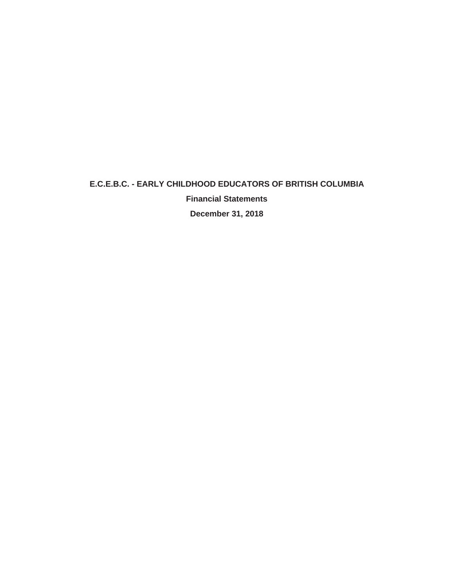**Financial Statements**

**December 31, 2018**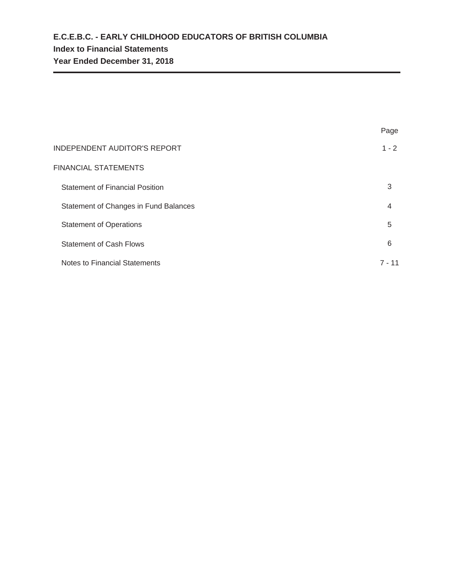|                                        | Page     |
|----------------------------------------|----------|
| <b>INDEPENDENT AUDITOR'S REPORT</b>    | $1 - 2$  |
| FINANCIAL STATEMENTS                   |          |
| <b>Statement of Financial Position</b> | 3        |
| Statement of Changes in Fund Balances  | 4        |
| <b>Statement of Operations</b>         | 5        |
| <b>Statement of Cash Flows</b>         | 6        |
| Notes to Financial Statements          | $7 - 11$ |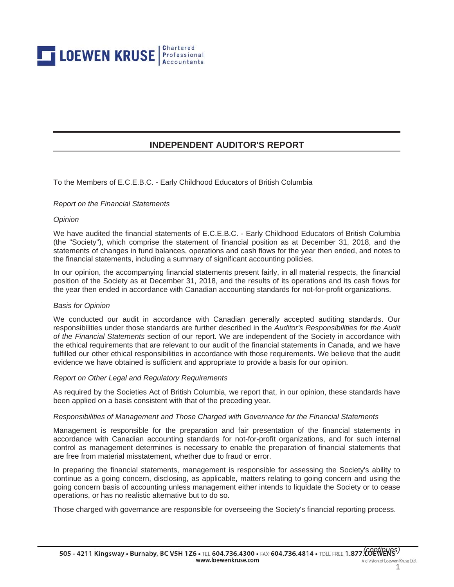

# **INDEPENDENT AUDITOR'S REPORT**

To the Members of E.C.E.B.C. - Early Childhood Educators of British Columbia

#### *Report on the Financial Statements*

#### *Opinion*

We have audited the financial statements of E.C.E.B.C. - Early Childhood Educators of British Columbia (the "Society"), which comprise the statement of financial position as at December 31, 2018, and the statements of changes in fund balances, operations and cash flows for the year then ended, and notes to the financial statements, including a summary of significant accounting policies.

In our opinion, the accompanying financial statements present fairly, in all material respects, the financial position of the Society as at December 31, 2018, and the results of its operations and its cash flows for the year then ended in accordance with Canadian accounting standards for not-for-profit organizations.

#### *Basis for Opinion*

We conducted our audit in accordance with Canadian generally accepted auditing standards. Our responsibilities under those standards are further described in the *Auditor's Responsibilities for the Audit of the Financial Statements* section of our report. We are independent of the Society in accordance with the ethical requirements that are relevant to our audit of the financial statements in Canada, and we have fulfilled our other ethical responsibilities in accordance with those requirements. We believe that the audit evidence we have obtained is sufficient and appropriate to provide a basis for our opinion.

#### *Report on Other Legal and Regulatory Requirements*

As required by the Societies Act of British Columbia, we report that, in our opinion, these standards have been applied on a basis consistent with that of the preceding year.

#### *Responsibilities of Management and Those Charged with Governance for the Financial Statements*

Management is responsible for the preparation and fair presentation of the financial statements in accordance with Canadian accounting standards for not-for-profit organizations, and for such internal control as management determines is necessary to enable the preparation of financial statements that are free from material misstatement, whether due to fraud or error.

In preparing the financial statements, management is responsible for assessing the Society's ability to continue as a going concern, disclosing, as applicable, matters relating to going concern and using the going concern basis of accounting unless management either intends to liquidate the Society or to cease operations, or has no realistic alternative but to do so.

Those charged with governance are responsible for overseeing the Society's financial reporting process.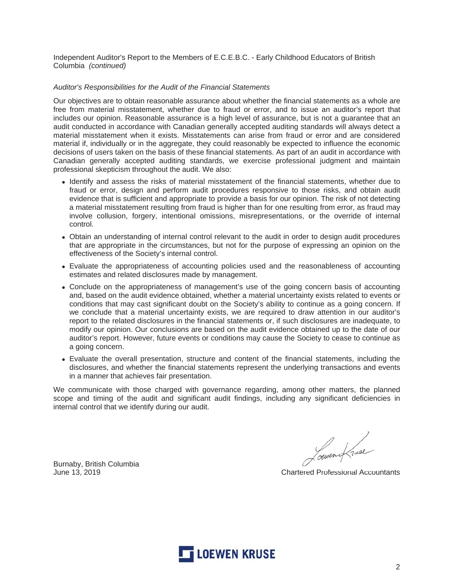Independent Auditor's Report to the Members of E.C.E.B.C. - Early Childhood Educators of British Columbia *(continued)*

## *Auditor's Responsibilities for the Audit of the Financial Statements*

Our objectives are to obtain reasonable assurance about whether the financial statements as a whole are free from material misstatement, whether due to fraud or error, and to issue an auditor's report that includes our opinion. Reasonable assurance is a high level of assurance, but is not a guarantee that an audit conducted in accordance with Canadian generally accepted auditing standards will always detect a material misstatement when it exists. Misstatements can arise from fraud or error and are considered material if, individually or in the aggregate, they could reasonably be expected to influence the economic decisions of users taken on the basis of these financial statements. As part of an audit in accordance with Canadian generally accepted auditing standards, we exercise professional judgment and maintain professional skepticism throughout the audit. We also:

- Identify and assess the risks of material misstatement of the financial statements, whether due to fraud or error, design and perform audit procedures responsive to those risks, and obtain audit evidence that is sufficient and appropriate to provide a basis for our opinion. The risk of not detecting a material misstatement resulting from fraud is higher than for one resulting from error, as fraud may involve collusion, forgery, intentional omissions, misrepresentations, or the override of internal control.
- Obtain an understanding of internal control relevant to the audit in order to design audit procedures that are appropriate in the circumstances, but not for the purpose of expressing an opinion on the effectiveness of the Society's internal control.
- Evaluate the appropriateness of accounting policies used and the reasonableness of accounting estimates and related disclosures made by management.
- Conclude on the appropriateness of management's use of the going concern basis of accounting and, based on the audit evidence obtained, whether a material uncertainty exists related to events or conditions that may cast significant doubt on the Society's ability to continue as a going concern. If we conclude that a material uncertainty exists, we are required to draw attention in our auditor's report to the related disclosures in the financial statements or, if such disclosures are inadequate, to modify our opinion. Our conclusions are based on the audit evidence obtained up to the date of our auditor's report. However, future events or conditions may cause the Society to cease to continue as a going concern.
- Evaluate the overall presentation, structure and content of the financial statements, including the disclosures, and whether the financial statements represent the underlying transactions and events in a manner that achieves fair presentation.

We communicate with those charged with governance regarding, among other matters, the planned scope and timing of the audit and significant audit findings, including any significant deficiencies in internal control that we identify during our audit.

Burnaby, British Columbia

Loewen Kruse

June 13, 2019 **Chartered Professional Accountants** 

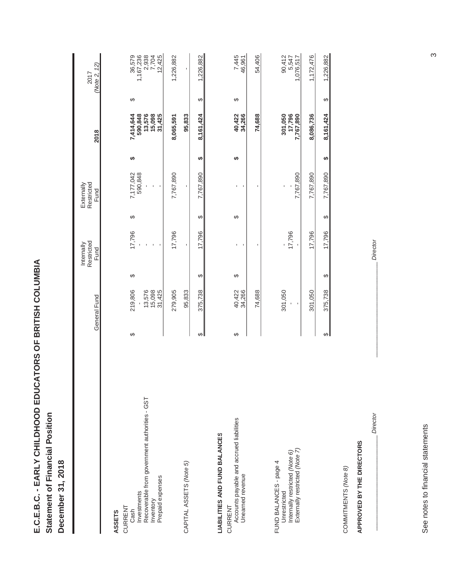| E.C.E.B.C. - EARLY CHILDHOOD EDUCATORS OF BRITISH COLU |                      |
|--------------------------------------------------------|----------------------|
|                                                        | atement of Financial |
|                                                        |                      |

**A**

L

|                                                                                                                  |   | General Fund                          |   | Restricted<br>Internally<br>Fund |   | Restricted<br>Externally<br>Fund                         |   | 2018                                               |   | (Note 2, 12)<br>2017                            |
|------------------------------------------------------------------------------------------------------------------|---|---------------------------------------|---|----------------------------------|---|----------------------------------------------------------|---|----------------------------------------------------|---|-------------------------------------------------|
| <b>ASSETS</b>                                                                                                    |   |                                       |   |                                  |   |                                                          |   |                                                    |   |                                                 |
| Recoverable from government authorities - GST<br>Prepaid expenses<br>Investments<br>Inventory<br>CURRENT<br>Cash | ↮ | 219,806<br>13,576<br>15,098<br>31,425 | ↮ | 17,796                           | ↔ | 7,177,042<br>590,848<br>$\blacksquare$<br>$\blacksquare$ | ↮ | 13,576<br>15,098<br>590,848<br>7,414,644<br>31,425 | ↔ | 36,579<br>1,167,236<br>2,938<br>7,704<br>12,425 |
|                                                                                                                  |   | 279,905                               |   | 17,796                           |   | 7,767,890                                                |   | 8,065,591                                          |   | 1,226,882                                       |
| CAPITAL ASSETS (Note 5)                                                                                          |   | 95,833                                |   |                                  |   | $\blacksquare$                                           |   | 95,833                                             |   | $\mathbf{r}$                                    |
|                                                                                                                  | ↔ | 375,738                               | ↮ | 17,796                           | ↮ | 7,767,890                                                | ↮ | 8,161,424                                          | ↔ | 1,226,882                                       |
| <b>LIABILITIES AND FUND BALANCES</b><br>CURRENT                                                                  |   |                                       |   |                                  |   |                                                          |   |                                                    |   |                                                 |
| Accounts payable and accrued liabilities<br>Unearned revenue                                                     | ↔ | 34,266<br>40,422                      | ↔ | ı<br>ı                           | ↮ | J.<br>I,                                                 | ↮ | 40,422<br>34,266                                   | ↔ | 7,445<br>46,961                                 |
|                                                                                                                  |   | 74,688                                |   |                                  |   |                                                          |   | 74,688                                             |   | 54,406                                          |
| Externally restricted (Note 7)<br>Internally restricted (Note 6)<br>FUND BALANCES - page 4<br>Unrestricted       |   | 301,050<br>$\blacksquare$             |   | 17,796                           |   | 7,767,890                                                |   | 7,767,890<br>7,796<br>962,767                      |   | 90,412<br>5,547<br>1,076,517                    |
|                                                                                                                  |   | 301,050                               |   | 17,796                           |   | 7,767,890                                                |   | 8,086,736                                          |   | 1,172,476                                       |
|                                                                                                                  | ↮ | 375,738                               | ↮ | 17,796                           | ↮ | 7,767,890                                                | ↮ | 8,161,424                                          | ↮ | 1,226,882                                       |
| COMMITMENTS (Note 8)                                                                                             |   |                                       |   |                                  |   |                                                          |   |                                                    |   |                                                 |
| APPROVED BY THE DIRECTORS                                                                                        |   |                                       |   |                                  |   |                                                          |   |                                                    |   |                                                 |

See notes to financial statements See notes to financial statements

*Director*

*Director*

 $\infty$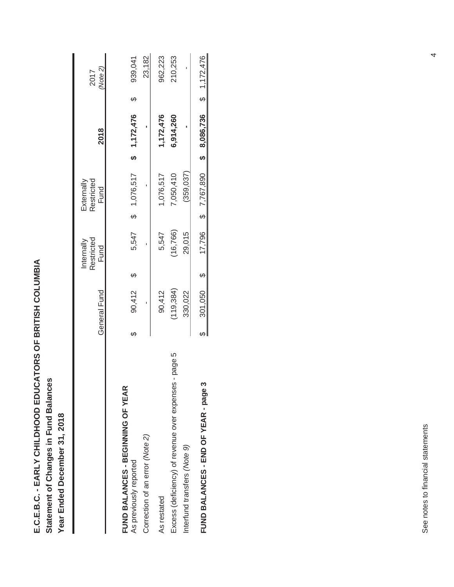**A E.C.E.B.C. - EARLY CHILDHOOD EDUCATORS OF BRITISH COLUMBI** Statement of Changes in Fund Balances **ges in Fund Balances Statement of Chan**

Year Ended December 31, 2018 **Year Ended December 31, 2018**

|                                                       |   |              | Restricted<br>Internally |    | Restricted<br>Externally |                                     | 2017    |
|-------------------------------------------------------|---|--------------|--------------------------|----|--------------------------|-------------------------------------|---------|
|                                                       |   | General Fund | Fund                     |    | Fund                     | 2018                                | Note 2) |
| FUND BALANCES - BEGINNING OF YEAR                     |   |              |                          |    |                          |                                     |         |
| As previously reported                                | ക | 90,412       | 5,547                    | မာ | 1,076,517                | \$7,172,476                         | 939,041 |
| Correction of an error (Note 2)                       |   |              |                          |    |                          |                                     | 23,182  |
| As restated                                           |   | 90,412       | 5,547                    |    | 1,076,517                | 1,172,476                           | 962,223 |
| Excess (deficiency) of revenue over expenses - page 5 |   | (119, 384)   | 16,766)                  |    | 7,050,410                | 6,914,260                           | 210,253 |
| Interfund transfers (Note 9)                          |   | 330,022      | 29,015                   |    | (359, 037)               |                                     |         |
| FUND BALANCES - END OF YEAR - page                    |   | $301,050$ \$ |                          |    |                          | 17,796 \$ 8,086,736 \$ 8,087,72,476 |         |
|                                                       |   |              |                          |    |                          |                                     |         |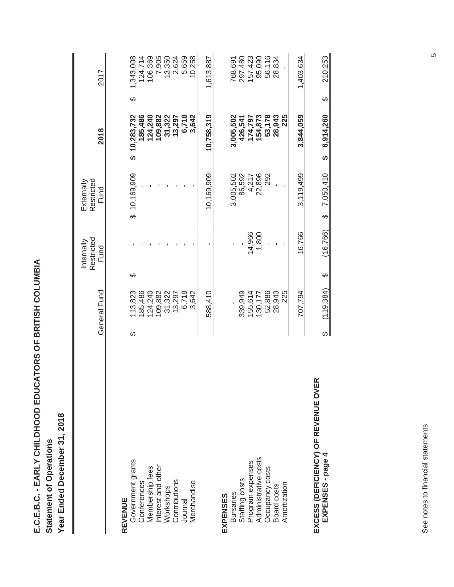**E.C.E.B.C. - EARLY CHILDHOOD EDUCATORS OF BRITISH COLUMBI Statement of Operations Statement of Operations**

**A**

Year Ended December 31, 2018 **Year Ended December 31, 2018**

|                                                          |   |              |   | Restricted<br>Internally | Restricted<br>Externally |                 |   |           |
|----------------------------------------------------------|---|--------------|---|--------------------------|--------------------------|-----------------|---|-----------|
|                                                          |   | General Fund |   | Fund                     | Fund                     | 2018            |   | 2017      |
|                                                          |   |              |   |                          |                          |                 |   |           |
| REVENUE                                                  |   |              |   |                          |                          |                 |   |           |
| Government grants                                        | ക | 13,823       | ↔ |                          | \$10,169,909             | \$10,283,732    | ↔ | 1,343,008 |
|                                                          |   | 185,486      |   |                          |                          | 185,486         |   | 124,714   |
| Conferences<br>Membership fees                           |   | 124,240      |   |                          |                          | 124,240         |   | 106,369   |
|                                                          |   | 109,882      |   |                          |                          | 109,882         |   | 7,905     |
| Interest and other<br>Workshops                          |   | 31,322       |   |                          |                          | 31,322          |   | 13,350    |
| Contributions                                            |   | 13,297       |   |                          |                          | 13,297          |   | 2,624     |
| Journal                                                  |   | 6,718        |   |                          |                          | 6,718           |   | 5,659     |
| Merchandise                                              |   | 3,642        |   |                          |                          | 3,642           |   | 10,258    |
|                                                          |   | 588,410      |   |                          | 10,169,909               | 10,758,319      |   | 1,613,887 |
| EXPENSES                                                 |   |              |   |                          |                          |                 |   |           |
| <b>Bursaries</b>                                         |   |              |   |                          | 3,005,502                | 3,005,502       |   | 768,691   |
| Staffing costs                                           |   | 339,949      |   |                          | 86,592                   | 426,541         |   | 297,480   |
| Program expenses                                         |   | 155,614      |   | 14,966                   | 4,217                    | 174,797         |   | 157,423   |
| Administrative costs                                     |   | 130,177      |   | 1,800                    | 22,896                   | 154,873         |   | 95,090    |
| Occupancy costs                                          |   | 52,886       |   |                          | 292                      | 53,178          |   | 56,116    |
| Board costs                                              |   | 28,943       |   |                          |                          | 28,943          |   | 28,834    |
| Amortization                                             |   | 225          |   |                          |                          | 225             |   |           |
|                                                          |   | 707,794      |   | 16,766                   | 3,119,499                | 3,844,059       |   | 1,403,634 |
| EXCESS (DEFICIENCY) OF REVENUE OVER<br>EXPENSES - page 4 |   | (119, 384)   | ↔ | (16, 766)                | 7,050,410<br>↔           | 6,914,260<br>မာ | ↮ | 210,253   |

See notes to financial statements See notes to financial statements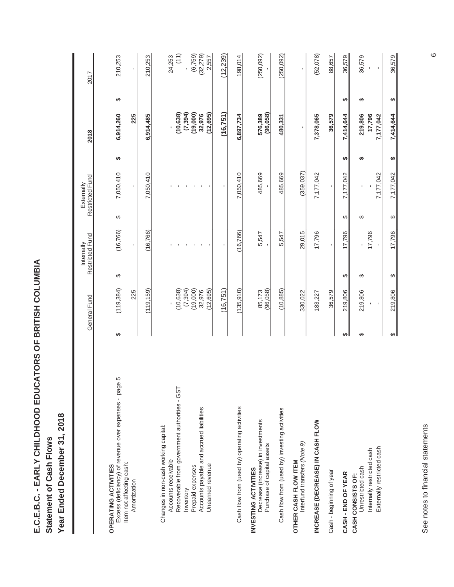**A E.C.E.B.C. - EARLY CHILDHOOD EDUCATORS OF BRITISH COLUMBI** Statement of Cash Flows **Statement of Cash Flows**

Year Ended December 31, 2018 **Year Ended December 31, 2018**

|                                                                                                    |   | General Fund       |   | Restricted Fund<br>Internally |   | Restricted Fund<br>Externally |    | 2018                           |   | 2017                           |
|----------------------------------------------------------------------------------------------------|---|--------------------|---|-------------------------------|---|-------------------------------|----|--------------------------------|---|--------------------------------|
| <b>OPERATING ACTIVITIES</b>                                                                        |   |                    |   |                               |   |                               |    |                                |   |                                |
| Excess (deficiency) of revenue over expenses - page 5<br>Item not affecting cash:                  | ↮ | (119, 384)         | ↮ | (16, 766)                     | ↔ | 7,050,410                     | ↮  | 6,914,260                      | ↮ | 210,253                        |
| Amortization                                                                                       |   | 225                |   | $\blacksquare$                |   | ı.                            |    | 225                            |   | ı.                             |
|                                                                                                    |   | (119, 159)         |   | (16,766)                      |   | 7,050,410                     |    | 6,914,485                      |   | 210,253                        |
| Changes in non-cash working capital:<br>Accounts receivable                                        |   |                    |   |                               |   |                               |    |                                |   | 24,253                         |
| Recoverable from government authorities - GST                                                      |   | (10,638)           |   |                               |   |                               |    | (10, 638)                      |   | (11)                           |
| Inventory                                                                                          |   | (7, 394)           |   |                               |   |                               |    | (7, 394)                       |   |                                |
| Accounts payable and accrued liabilities<br>Prepaid expenses                                       |   | (19,000)<br>32,976 |   |                               |   |                               |    | (19,000)<br>32,976             |   | (6,759)<br>(32, 279)           |
| Unearned revenue                                                                                   |   | (12, 695)          |   |                               |   |                               |    | (12, 695)                      |   | 2,557                          |
|                                                                                                    |   | (16,751)           |   |                               |   |                               |    | (16,751)                       |   | (12, 239)                      |
| Cash flow from (used by) operating activities                                                      |   | (135, 910)         |   | (16, 766)                     |   | 7,050,410                     |    | 6,897,734                      |   | 198,014                        |
| Decrease (increase) in investments<br>Purchase of capital assets<br>INVESTING ACTIVITIES           |   | 85,173<br>(96,058) |   | 5,547                         |   | 485,669                       |    | 576,389<br>(96,058)            |   | (250, 092)                     |
| Cash flow from (used by) investing activities                                                      |   | (10, 885)          |   | 5,547                         |   | 485,669                       |    | 480,331                        |   | (250, 092)                     |
| Interfund transfers (Note 9)<br>OTHER CASH FLOW ITEM                                               |   | 330,022            |   | 29,015                        |   | (359, 037)                    |    |                                |   |                                |
| INCREASE (DECREASE) IN CASH FLOW                                                                   |   | 183,227            |   | 17,796                        |   | 7,177,042                     |    | 7,378,065                      |   | (52,078)                       |
| Cash - beginning of year                                                                           |   | 36,579             |   |                               |   |                               |    | 36,579                         |   | 88,657                         |
| CASH - END OF YEAR                                                                                 | ↔ | 219,806            | ↮ | 17,796                        | ↮ | 7,177,042                     | ↮  | 7,414,644                      | ↮ | 36,579                         |
| Externally restricted cash<br>Internally restricted cash<br>Unrestricted cash<br>CASH CONSISTS OF: | ↮ | 219,806            | ക | 17,796                        | ↮ | 7,177,042                     | မာ | 219,806<br>17,796<br>7,177,042 | ↮ | 36,579<br>$\blacksquare$<br>J. |
|                                                                                                    | ↔ | 219,806            | ↔ | 17,796                        | ↔ | 7,177,042                     | ↮  | 7,414,644                      | ↔ | 36,579                         |

See notes to financial statements See notes to financial statements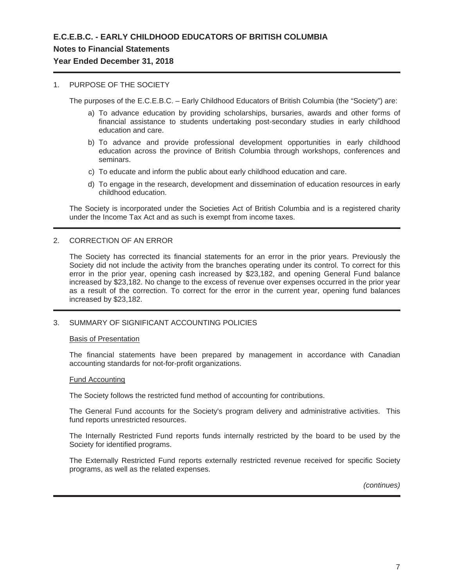# **Notes to Financial Statements**

# **Year Ended December 31, 2018**

## 1. PURPOSE OF THE SOCIETY

The purposes of the E.C.E.B.C. – Early Childhood Educators of British Columbia (the "Society") are:

- a) To advance education by providing scholarships, bursaries, awards and other forms of financial assistance to students undertaking post-secondary studies in early childhood education and care.
- b) To advance and provide professional development opportunities in early childhood education across the province of British Columbia through workshops, conferences and seminars.
- c) To educate and inform the public about early childhood education and care.
- d) To engage in the research, development and dissemination of education resources in early childhood education.

The Society is incorporated under the Societies Act of British Columbia and is a registered charity under the Income Tax Act and as such is exempt from income taxes.

## 2. CORRECTION OF AN ERROR

The Society has corrected its financial statements for an error in the prior years. Previously the Society did not include the activity from the branches operating under its control. To correct for this error in the prior year, opening cash increased by \$23,182, and opening General Fund balance increased by \$23,182. No change to the excess of revenue over expenses occurred in the prior year as a result of the correction. To correct for the error in the current year, opening fund balances increased by \$23,182.

## 3. SUMMARY OF SIGNIFICANT ACCOUNTING POLICIES

### Basis of Presentation

The financial statements have been prepared by management in accordance with Canadian accounting standards for not-for-profit organizations.

### Fund Accounting

The Society follows the restricted fund method of accounting for contributions.

The General Fund accounts for the Society's program delivery and administrative activities. This fund reports unrestricted resources.

The Internally Restricted Fund reports funds internally restricted by the board to be used by the Society for identified programs.

The Externally Restricted Fund reports externally restricted revenue received for specific Society programs, as well as the related expenses.

*(continues)*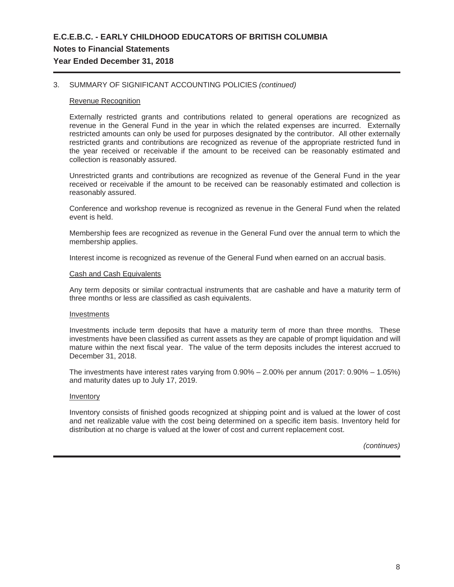# **E.C.E.B.C. - EARLY CHILDHOOD EDUCATORS OF BRITISH COLUMBIA Notes to Financial Statements Year Ended December 31, 2018**

## 3. SUMMARY OF SIGNIFICANT ACCOUNTING POLICIES *(continued)*

### Revenue Recognition

Externally restricted grants and contributions related to general operations are recognized as revenue in the General Fund in the year in which the related expenses are incurred. Externally restricted amounts can only be used for purposes designated by the contributor. All other externally restricted grants and contributions are recognized as revenue of the appropriate restricted fund in the year received or receivable if the amount to be received can be reasonably estimated and collection is reasonably assured.

Unrestricted grants and contributions are recognized as revenue of the General Fund in the year received or receivable if the amount to be received can be reasonably estimated and collection is reasonably assured.

Conference and workshop revenue is recognized as revenue in the General Fund when the related event is held.

Membership fees are recognized as revenue in the General Fund over the annual term to which the membership applies.

Interest income is recognized as revenue of the General Fund when earned on an accrual basis.

#### Cash and Cash Equivalents

Any term deposits or similar contractual instruments that are cashable and have a maturity term of three months or less are classified as cash equivalents.

#### **Investments**

Investments include term deposits that have a maturity term of more than three months. These investments have been classified as current assets as they are capable of prompt liquidation and will mature within the next fiscal year. The value of the term deposits includes the interest accrued to December 31, 2018.

The investments have interest rates varying from 0.90% – 2.00% per annum (2017: 0.90% – 1.05%) and maturity dates up to July 17, 2019.

#### Inventory

Inventory consists of finished goods recognized at shipping point and is valued at the lower of cost and net realizable value with the cost being determined on a specific item basis. Inventory held for distribution at no charge is valued at the lower of cost and current replacement cost.

*(continues)*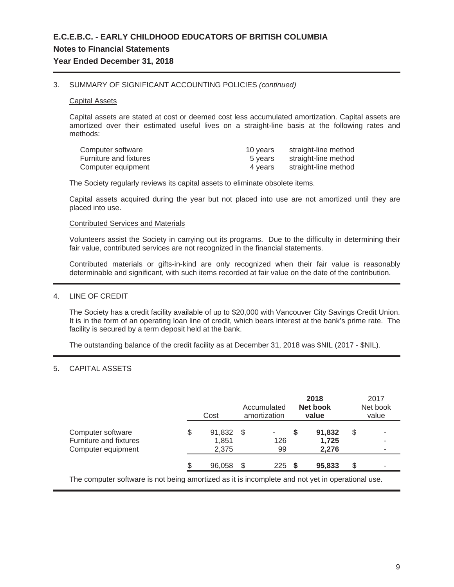### 3. SUMMARY OF SIGNIFICANT ACCOUNTING POLICIES *(continued)*

#### Capital Assets

Capital assets are stated at cost or deemed cost less accumulated amortization. Capital assets are amortized over their estimated useful lives on a straight-line basis at the following rates and methods:

| Computer software             | 10 years | straight-line method |
|-------------------------------|----------|----------------------|
| <b>Furniture and fixtures</b> | 5 vears  | straight-line method |
| Computer equipment            | 4 vears  | straight-line method |

The Society regularly reviews its capital assets to eliminate obsolete items.

Capital assets acquired during the year but not placed into use are not amortized until they are placed into use.

#### Contributed Services and Materials

Volunteers assist the Society in carrying out its programs. Due to the difficulty in determining their fair value, contributed services are not recognized in the financial statements.

Contributed materials or gifts-in-kind are only recognized when their fair value is reasonably determinable and significant, with such items recorded at fair value on the date of the contribution.

### 4. LINE OF CREDIT

The Society has a credit facility available of up to \$20,000 with Vancouver City Savings Credit Union. It is in the form of an operating loan line of credit, which bears interest at the bank's prime rate. The facility is secured by a term deposit held at the bank.

The outstanding balance of the credit facility as at December 31, 2018 was \$NIL (2017 - \$NIL).

# 5. CAPITAL ASSETS

|                                                                   | Cost                           |      | Accumulated<br>amortization | 2018<br>Net book<br>value | 2017<br>Net book<br>value |
|-------------------------------------------------------------------|--------------------------------|------|-----------------------------|---------------------------|---------------------------|
| Computer software<br>Furniture and fixtures<br>Computer equipment | \$<br>91,832<br>1,851<br>2,375 | - \$ | ٠<br>126<br>99              | 91,832<br>1,725<br>2,276  | \$<br>-<br>-<br>۰         |
|                                                                   | 96,058                         | S.   | 225                         | 95,833                    | \$<br>۰                   |

The computer software is not being amortized as it is incomplete and not yet in operational use.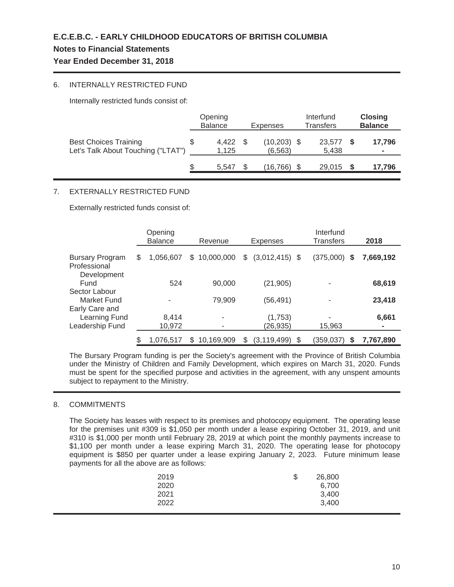# **Notes to Financial Statements**

# **Year Ended December 31, 2018**

# 6. INTERNALLY RESTRICTED FUND

Internally restricted funds consist of:

|                                                                    | Opening<br><b>Balance</b> | <b>Expenses</b>            | Interfund<br>Transfers | <b>Closing</b><br><b>Balance</b> |
|--------------------------------------------------------------------|---------------------------|----------------------------|------------------------|----------------------------------|
| <b>Best Choices Training</b><br>Let's Talk About Touching ("LTAT") | 4.422<br>1.125            | $(10, 203)$ \$<br>(6, 563) | 23.577<br>5,438        | 17,796<br>۰                      |
|                                                                    | 5.547                     | (16.766)                   | 29.015                 | 17,796                           |

# 7. EXTERNALLY RESTRICTED FUND

Externally restricted funds consist of:

|                                        | Opening<br><b>Balance</b> |    | Revenue    | <b>Expenses</b>        | Interfund<br>Transfers | 2018      |
|----------------------------------------|---------------------------|----|------------|------------------------|------------------------|-----------|
| <b>Bursary Program</b><br>Professional | \$<br>1,056,607           | \$ | 10,000,000 | \$<br>$(3,012,415)$ \$ | $(375,000)$ \$         | 7,669,192 |
| Development<br>Fund<br>Sector Labour   | 524                       |    | 90,000     | (21, 905)              |                        | 68,619    |
| Market Fund<br>Early Care and          |                           |    | 79,909     | (56, 491)              |                        | 23,418    |
| Learning Fund<br>Leadership Fund       | 8,414<br>10,972           |    | ٠          | (1,753)<br>(26,935)    | 15,963                 | 6,661     |
|                                        | 1,076,517                 | S  | 10,169,909 | (3, 119, 499)          | \$<br>(359,037)<br>S   | 7,767,890 |

The Bursary Program funding is per the Society's agreement with the Province of British Columbia under the Ministry of Children and Family Development, which expires on March 31, 2020. Funds must be spent for the specified purpose and activities in the agreement, with any unspent amounts subject to repayment to the Ministry.

# 8. COMMITMENTS

The Society has leases with respect to its premises and photocopy equipment. The operating lease for the premises unit #309 is \$1,050 per month under a lease expiring October 31, 2019, and unit #310 is \$1,000 per month until February 28, 2019 at which point the monthly payments increase to \$1,100 per month under a lease expiring March 31, 2020. The operating lease for photocopy equipment is \$850 per quarter under a lease expiring January 2, 2023. Future minimum lease payments for all the above are as follows:

| 2019 | \$<br>26,800 |
|------|--------------|
| 2020 | 6,700        |
| 2021 | 3,400        |
| 2022 | 3,400        |
|      |              |